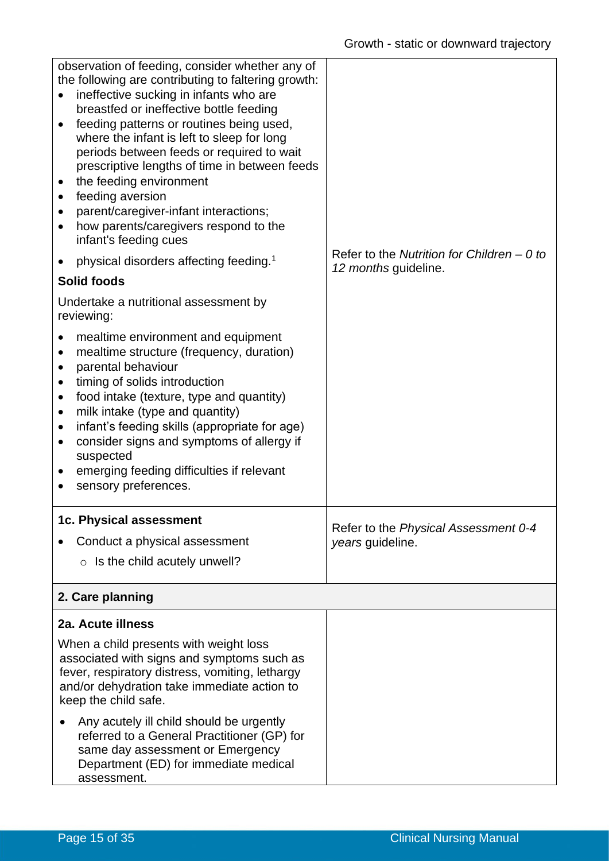| observation of feeding, consider whether any of<br>the following are contributing to faltering growth:<br>ineffective sucking in infants who are<br>breastfed or ineffective bottle feeding<br>feeding patterns or routines being used,<br>where the infant is left to sleep for long<br>periods between feeds or required to wait<br>prescriptive lengths of time in between feeds<br>the feeding environment<br>$\bullet$<br>feeding aversion<br>٠<br>parent/caregiver-infant interactions;<br>how parents/caregivers respond to the<br>$\bullet$<br>infant's feeding cues | Refer to the Nutrition for Children – 0 to |
|------------------------------------------------------------------------------------------------------------------------------------------------------------------------------------------------------------------------------------------------------------------------------------------------------------------------------------------------------------------------------------------------------------------------------------------------------------------------------------------------------------------------------------------------------------------------------|--------------------------------------------|
| physical disorders affecting feeding. <sup>1</sup><br><b>Solid foods</b>                                                                                                                                                                                                                                                                                                                                                                                                                                                                                                     | 12 months guideline.                       |
| Undertake a nutritional assessment by<br>reviewing:                                                                                                                                                                                                                                                                                                                                                                                                                                                                                                                          |                                            |
| mealtime environment and equipment<br>mealtime structure (frequency, duration)<br>$\bullet$<br>parental behaviour<br>$\bullet$<br>timing of solids introduction<br>٠<br>food intake (texture, type and quantity)<br>$\bullet$<br>milk intake (type and quantity)<br>$\bullet$<br>infant's feeding skills (appropriate for age)<br>٠<br>consider signs and symptoms of allergy if<br>٠<br>suspected<br>emerging feeding difficulties if relevant<br>sensory preferences.                                                                                                      |                                            |
| 1c. Physical assessment                                                                                                                                                                                                                                                                                                                                                                                                                                                                                                                                                      | Refer to the Physical Assessment 0-4       |
| Conduct a physical assessment                                                                                                                                                                                                                                                                                                                                                                                                                                                                                                                                                | years guideline.                           |
| $\circ$ Is the child acutely unwell?                                                                                                                                                                                                                                                                                                                                                                                                                                                                                                                                         |                                            |
| 2. Care planning                                                                                                                                                                                                                                                                                                                                                                                                                                                                                                                                                             |                                            |
| 2a. Acute illness                                                                                                                                                                                                                                                                                                                                                                                                                                                                                                                                                            |                                            |
| When a child presents with weight loss<br>associated with signs and symptoms such as<br>fever, respiratory distress, vomiting, lethargy<br>and/or dehydration take immediate action to<br>keep the child safe.                                                                                                                                                                                                                                                                                                                                                               |                                            |
| Any acutely ill child should be urgently<br>referred to a General Practitioner (GP) for<br>same day assessment or Emergency<br>Department (ED) for immediate medical<br>assessment.                                                                                                                                                                                                                                                                                                                                                                                          |                                            |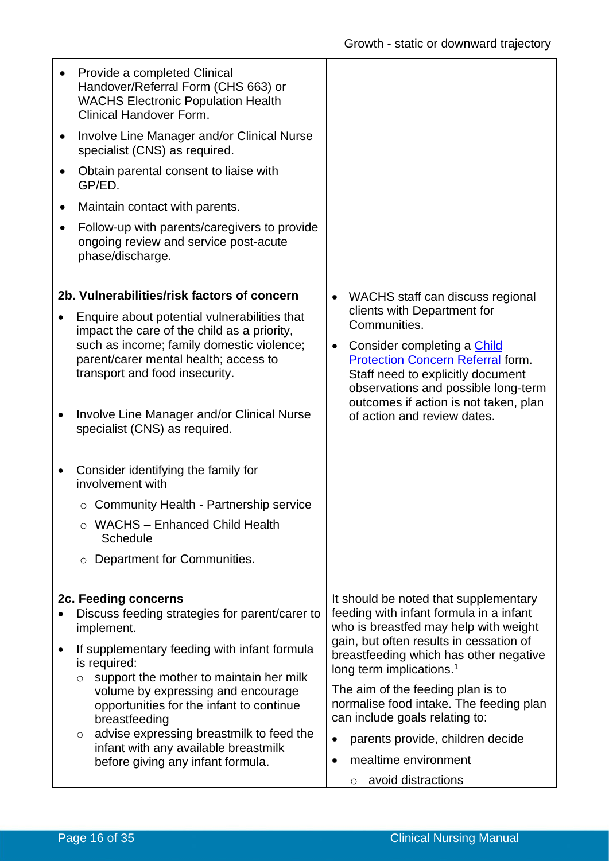| $\bullet$<br>$\bullet$ | Provide a completed Clinical<br>Handover/Referral Form (CHS 663) or<br><b>WACHS Electronic Population Health</b><br><b>Clinical Handover Form.</b><br>Involve Line Manager and/or Clinical Nurse<br>specialist (CNS) as required.<br>Obtain parental consent to liaise with<br>GP/ED. |                                                                                                                                                                                                           |  |  |
|------------------------|---------------------------------------------------------------------------------------------------------------------------------------------------------------------------------------------------------------------------------------------------------------------------------------|-----------------------------------------------------------------------------------------------------------------------------------------------------------------------------------------------------------|--|--|
| $\bullet$              | Maintain contact with parents.                                                                                                                                                                                                                                                        |                                                                                                                                                                                                           |  |  |
| ٠                      | Follow-up with parents/caregivers to provide<br>ongoing review and service post-acute<br>phase/discharge.                                                                                                                                                                             |                                                                                                                                                                                                           |  |  |
|                        | 2b. Vulnerabilities/risk factors of concern                                                                                                                                                                                                                                           | WACHS staff can discuss regional<br>$\bullet$                                                                                                                                                             |  |  |
|                        | Enquire about potential vulnerabilities that<br>impact the care of the child as a priority,                                                                                                                                                                                           | clients with Department for<br>Communities.                                                                                                                                                               |  |  |
|                        | such as income; family domestic violence;<br>parent/carer mental health; access to<br>transport and food insecurity.                                                                                                                                                                  | Consider completing a Child<br>$\bullet$<br><b>Protection Concern Referral form.</b><br>Staff need to explicitly document<br>observations and possible long-term<br>outcomes if action is not taken, plan |  |  |
| $\bullet$              | Involve Line Manager and/or Clinical Nurse<br>specialist (CNS) as required.                                                                                                                                                                                                           | of action and review dates.                                                                                                                                                                               |  |  |
|                        | Consider identifying the family for<br>involvement with                                                                                                                                                                                                                               |                                                                                                                                                                                                           |  |  |
|                        | $\circ$ Community Health - Partnership service                                                                                                                                                                                                                                        |                                                                                                                                                                                                           |  |  |
|                        | <b>WACHS - Enhanced Child Health</b><br><b>Schedule</b>                                                                                                                                                                                                                               |                                                                                                                                                                                                           |  |  |
|                        | Department for Communities.<br>O                                                                                                                                                                                                                                                      |                                                                                                                                                                                                           |  |  |
|                        | 2c. Feeding concerns                                                                                                                                                                                                                                                                  | It should be noted that supplementary                                                                                                                                                                     |  |  |
|                        | Discuss feeding strategies for parent/carer to<br>implement.                                                                                                                                                                                                                          | feeding with infant formula in a infant<br>who is breastfed may help with weight                                                                                                                          |  |  |
|                        | If supplementary feeding with infant formula<br>is required:<br>support the mother to maintain her milk<br>$\circ$                                                                                                                                                                    | gain, but often results in cessation of<br>breastfeeding which has other negative<br>long term implications. <sup>1</sup>                                                                                 |  |  |
|                        | volume by expressing and encourage<br>opportunities for the infant to continue<br>breastfeeding<br>advise expressing breastmilk to feed the<br>$\circ$<br>infant with any available breastmilk<br>before giving any infant formula.                                                   | The aim of the feeding plan is to<br>normalise food intake. The feeding plan<br>can include goals relating to:                                                                                            |  |  |
|                        |                                                                                                                                                                                                                                                                                       | parents provide, children decide<br>$\bullet$                                                                                                                                                             |  |  |
|                        |                                                                                                                                                                                                                                                                                       | mealtime environment<br>$\bullet$                                                                                                                                                                         |  |  |
|                        |                                                                                                                                                                                                                                                                                       | avoid distractions<br>$\circ$                                                                                                                                                                             |  |  |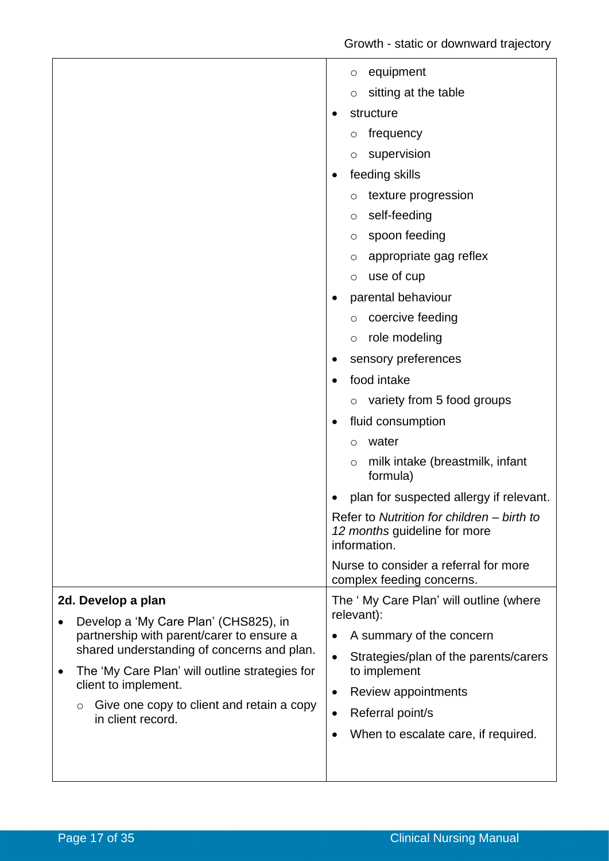| 2d. Develop a plan<br>Develop a 'My Care Plan' (CHS825), in<br>partnership with parent/carer to ensure a<br>shared understanding of concerns and plan.<br>The 'My Care Plan' will outline strategies for<br>٠<br>client to implement.<br>Give one copy to client and retain a copy<br>O | equipment<br>$\circ$<br>sitting at the table<br>$\circ$<br>structure<br>frequency<br>O<br>supervision<br>O<br>feeding skills<br>texture progression<br>O<br>self-feeding<br>O<br>spoon feeding<br>$\circ$<br>appropriate gag reflex<br>$\circ$<br>use of cup<br>$\circ$<br>parental behaviour<br>coercive feeding<br>$\circ$<br>role modeling<br>$\circ$<br>sensory preferences<br>food intake<br>$\circ$ variety from 5 food groups<br>fluid consumption<br>$\bullet$<br>water<br>$\circ$<br>milk intake (breastmilk, infant<br>$\circ$<br>formula)<br>plan for suspected allergy if relevant.<br>٠<br>Refer to Nutrition for children - birth to<br>12 months guideline for more<br>information.<br>Nurse to consider a referral for more<br>complex feeding concerns.<br>The 'My Care Plan' will outline (where<br>relevant):<br>A summary of the concern<br>٠<br>Strategies/plan of the parents/carers<br>$\bullet$<br>to implement<br>Review appointments<br>$\bullet$<br>Referral point/s<br>$\bullet$ |
|-----------------------------------------------------------------------------------------------------------------------------------------------------------------------------------------------------------------------------------------------------------------------------------------|--------------------------------------------------------------------------------------------------------------------------------------------------------------------------------------------------------------------------------------------------------------------------------------------------------------------------------------------------------------------------------------------------------------------------------------------------------------------------------------------------------------------------------------------------------------------------------------------------------------------------------------------------------------------------------------------------------------------------------------------------------------------------------------------------------------------------------------------------------------------------------------------------------------------------------------------------------------------------------------------------------------|
| in client record.                                                                                                                                                                                                                                                                       | When to escalate care, if required.<br>$\bullet$                                                                                                                                                                                                                                                                                                                                                                                                                                                                                                                                                                                                                                                                                                                                                                                                                                                                                                                                                             |
|                                                                                                                                                                                                                                                                                         |                                                                                                                                                                                                                                                                                                                                                                                                                                                                                                                                                                                                                                                                                                                                                                                                                                                                                                                                                                                                              |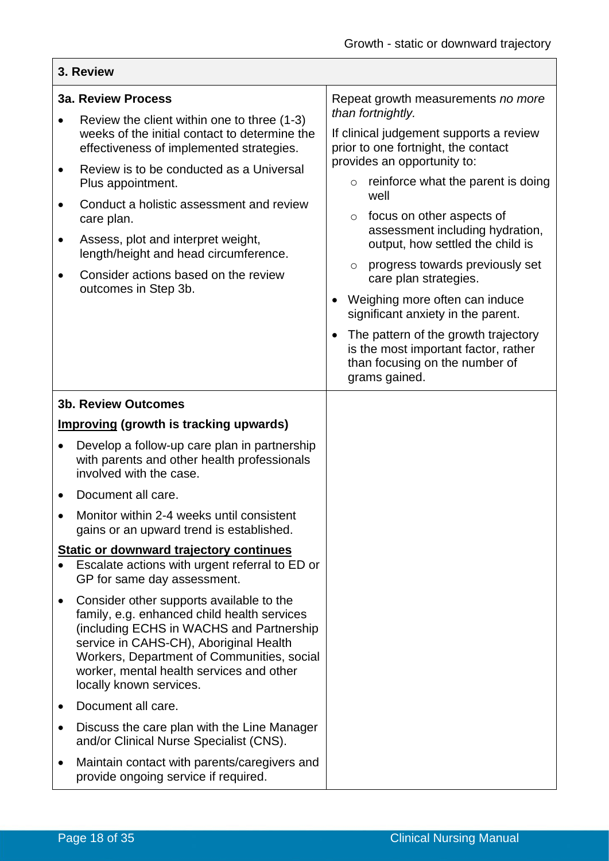#### **3. Review 3a. Review Process** • Review the client within one to three (1-3) weeks of the initial contact to determine the effectiveness of implemented strategies. • Review is to be conducted as a Universal Plus appointment. • Conduct a holistic assessment and review care plan. • Assess, plot and interpret weight, length/height and head circumference. • Consider actions based on the review outcomes in Step 3b. Repeat growth measurements *no more than fortnightly.*  If clinical judgement supports a review prior to one fortnight, the contact provides an opportunity to:  $\circ$  reinforce what the parent is doing well o focus on other aspects of assessment including hydration, output, how settled the child is o progress towards previously set care plan strategies. • Weighing more often can induce significant anxiety in the parent. • The pattern of the growth trajectory is the most important factor, rather than focusing on the number of grams gained. **3b. Review Outcomes Improving (growth is tracking upwards)** • Develop a follow-up care plan in partnership with parents and other health professionals involved with the case. • Document all care. • Monitor within 2-4 weeks until consistent gains or an upward trend is established. **Static or downward trajectory continues** • Escalate actions with urgent referral to ED or GP for same day assessment. • Consider other supports available to the family, e.g. enhanced child health services (including ECHS in WACHS and Partnership service in CAHS-CH), Aboriginal Health Workers, Department of Communities, social worker, mental health services and other locally known services. • Document all care. • Discuss the care plan with the Line Manager and/or Clinical Nurse Specialist (CNS). • Maintain contact with parents/caregivers and provide ongoing service if required.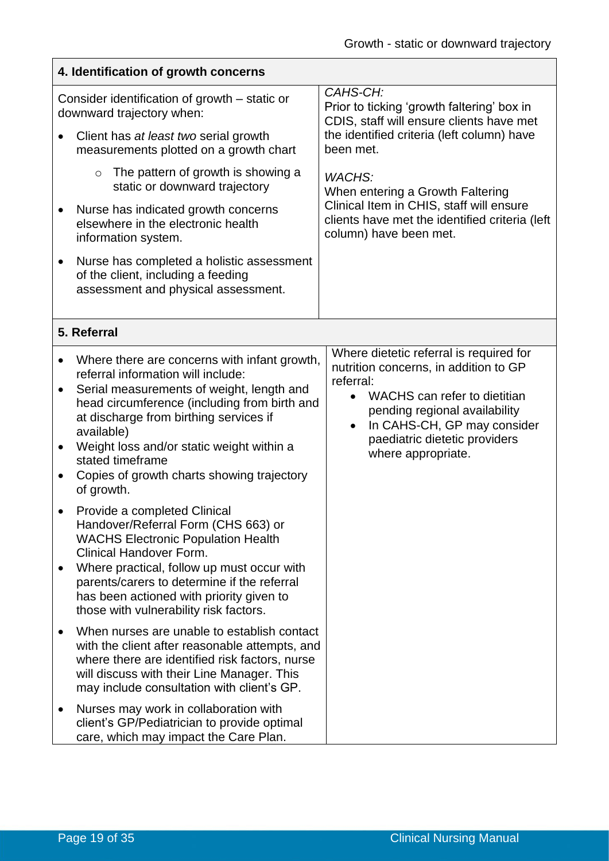$\overline{\mathbf{1}}$ 

| 4. Identification of growth concerns                                                                                                                                                                                                                                                                                                                                                                                     |                                                                                                                                                                                                                                                                                |  |  |
|--------------------------------------------------------------------------------------------------------------------------------------------------------------------------------------------------------------------------------------------------------------------------------------------------------------------------------------------------------------------------------------------------------------------------|--------------------------------------------------------------------------------------------------------------------------------------------------------------------------------------------------------------------------------------------------------------------------------|--|--|
| Consider identification of growth – static or<br>downward trajectory when:                                                                                                                                                                                                                                                                                                                                               | CAHS-CH:<br>Prior to ticking 'growth faltering' box in<br>CDIS, staff will ensure clients have met                                                                                                                                                                             |  |  |
| Client has at least two serial growth<br>measurements plotted on a growth chart                                                                                                                                                                                                                                                                                                                                          | the identified criteria (left column) have<br>been met.                                                                                                                                                                                                                        |  |  |
| The pattern of growth is showing a<br>$\circ$<br>static or downward trajectory                                                                                                                                                                                                                                                                                                                                           | <b>WACHS:</b><br>When entering a Growth Faltering                                                                                                                                                                                                                              |  |  |
| Nurse has indicated growth concerns<br>elsewhere in the electronic health<br>information system.                                                                                                                                                                                                                                                                                                                         | Clinical Item in CHIS, staff will ensure<br>clients have met the identified criteria (left<br>column) have been met.                                                                                                                                                           |  |  |
| Nurse has completed a holistic assessment<br>$\bullet$<br>of the client, including a feeding<br>assessment and physical assessment.                                                                                                                                                                                                                                                                                      |                                                                                                                                                                                                                                                                                |  |  |
| 5. Referral                                                                                                                                                                                                                                                                                                                                                                                                              |                                                                                                                                                                                                                                                                                |  |  |
| Where there are concerns with infant growth,<br>$\bullet$<br>referral information will include:<br>Serial measurements of weight, length and<br>$\bullet$<br>head circumference (including from birth and<br>at discharge from birthing services if<br>available)<br>Weight loss and/or static weight within a<br>$\bullet$<br>stated timeframe<br>Copies of growth charts showing trajectory<br>$\bullet$<br>of growth. | Where dietetic referral is required for<br>nutrition concerns, in addition to GP<br>referral:<br>WACHS can refer to dietitian<br>$\bullet$<br>pending regional availability<br>In CAHS-CH, GP may consider<br>$\bullet$<br>paediatric dietetic providers<br>where appropriate. |  |  |
| Provide a completed Clinical<br>Handover/Referral Form (CHS 663) or<br><b>WACHS Electronic Population Health</b><br><b>Clinical Handover Form.</b><br>Where practical, follow up must occur with<br>parents/carers to determine if the referral<br>has been actioned with priority given to<br>those with vulnerability risk factors.                                                                                    |                                                                                                                                                                                                                                                                                |  |  |
| When nurses are unable to establish contact<br>$\bullet$<br>with the client after reasonable attempts, and<br>where there are identified risk factors, nurse<br>will discuss with their Line Manager. This<br>may include consultation with client's GP.                                                                                                                                                                 |                                                                                                                                                                                                                                                                                |  |  |
| Nurses may work in collaboration with<br>$\bullet$<br>client's GP/Pediatrician to provide optimal<br>care, which may impact the Care Plan.                                                                                                                                                                                                                                                                               |                                                                                                                                                                                                                                                                                |  |  |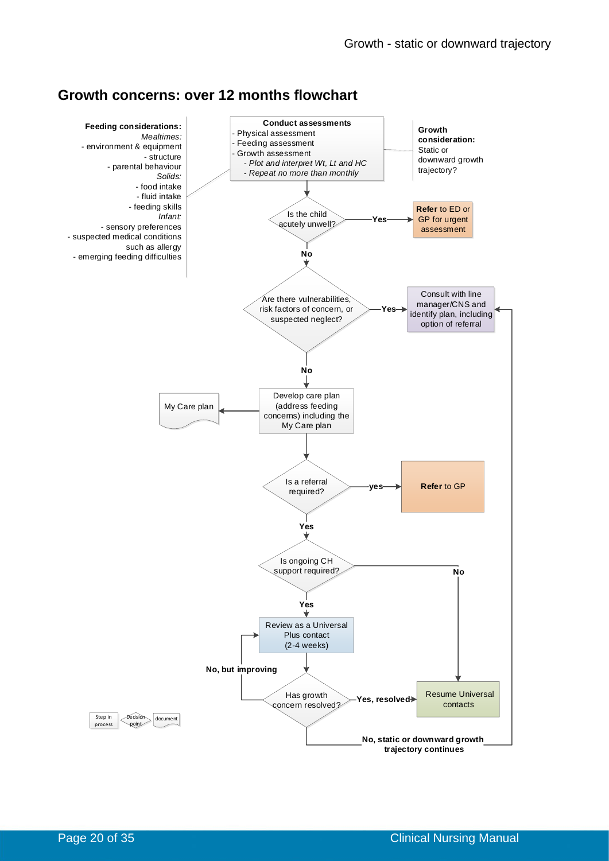## **Growth concerns: over 12 months flowchart**

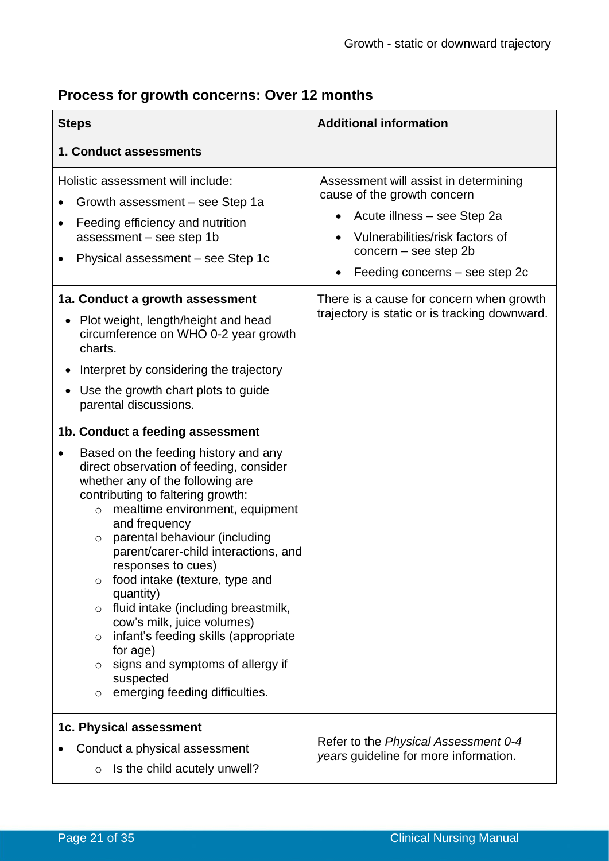#### **Steps Additional information 1. Conduct assessments** Holistic assessment will include: • Growth assessment – see Step 1a • Feeding efficiency and nutrition assessment – see step 1b • Physical assessment – see Step 1c Assessment will assist in determining cause of the growth concern • Acute illness – see Step 2a • Vulnerabilities/risk factors of concern – see step 2b • Feeding concerns – see step 2c **1a. Conduct a growth assessment** • Plot weight, length/height and head circumference on WHO 0-2 year growth charts. • Interpret by considering the trajectory • Use the growth chart plots to guide parental discussions. There is a cause for concern when growth trajectory is static or is tracking downward. **1b. Conduct a feeding assessment** • Based on the feeding history and any direct observation of feeding, consider whether any of the following are contributing to faltering growth: o mealtime environment, equipment and frequency o parental behaviour (including parent/carer-child interactions, and responses to cues) o food intake (texture, type and quantity) o fluid intake (including breastmilk, cow's milk, juice volumes) o infant's feeding skills (appropriate for age)  $\circ$  signs and symptoms of allergy if suspected o emerging feeding difficulties. **1c. Physical assessment** • Conduct a physical assessment  $\circ$  Is the child acutely unwell? Refer to the *Physical Assessment 0-4 years* guideline for more information.

# **Process for growth concerns: Over 12 months**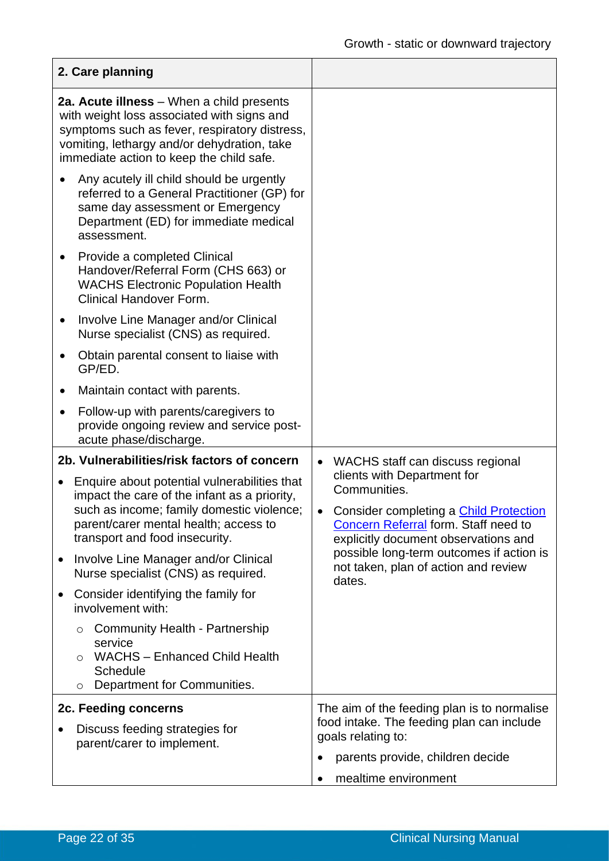|                                                                                                                                                                                                                                     | 2. Care planning                                                                                                                                                                    |                                                                 |                                                                                                                                                                       |  |
|-------------------------------------------------------------------------------------------------------------------------------------------------------------------------------------------------------------------------------------|-------------------------------------------------------------------------------------------------------------------------------------------------------------------------------------|-----------------------------------------------------------------|-----------------------------------------------------------------------------------------------------------------------------------------------------------------------|--|
| 2a. Acute illness - When a child presents<br>with weight loss associated with signs and<br>symptoms such as fever, respiratory distress,<br>vomiting, lethargy and/or dehydration, take<br>immediate action to keep the child safe. |                                                                                                                                                                                     |                                                                 |                                                                                                                                                                       |  |
|                                                                                                                                                                                                                                     | Any acutely ill child should be urgently<br>referred to a General Practitioner (GP) for<br>same day assessment or Emergency<br>Department (ED) for immediate medical<br>assessment. |                                                                 |                                                                                                                                                                       |  |
|                                                                                                                                                                                                                                     | Provide a completed Clinical<br>Handover/Referral Form (CHS 663) or<br><b>WACHS Electronic Population Health</b><br><b>Clinical Handover Form.</b>                                  |                                                                 |                                                                                                                                                                       |  |
| ٠                                                                                                                                                                                                                                   | Involve Line Manager and/or Clinical<br>Nurse specialist (CNS) as required.                                                                                                         |                                                                 |                                                                                                                                                                       |  |
|                                                                                                                                                                                                                                     | Obtain parental consent to liaise with<br>GP/ED.                                                                                                                                    |                                                                 |                                                                                                                                                                       |  |
|                                                                                                                                                                                                                                     | Maintain contact with parents.                                                                                                                                                      |                                                                 |                                                                                                                                                                       |  |
|                                                                                                                                                                                                                                     | Follow-up with parents/caregivers to<br>provide ongoing review and service post-<br>acute phase/discharge.                                                                          |                                                                 |                                                                                                                                                                       |  |
|                                                                                                                                                                                                                                     | 2b. Vulnerabilities/risk factors of concern                                                                                                                                         | $\bullet$                                                       | WACHS staff can discuss regional                                                                                                                                      |  |
| Enquire about potential vulnerabilities that<br>impact the care of the infant as a priority,<br>such as income; family domestic violence;<br>parent/carer mental health; access to<br>transport and food insecurity.                |                                                                                                                                                                                     | $\bullet$                                                       | clients with Department for<br>Communities.<br>Consider completing a Child Protection<br>Concern Referral form. Staff need to<br>explicitly document observations and |  |
| $\bullet$                                                                                                                                                                                                                           | Involve Line Manager and/or Clinical<br>Nurse specialist (CNS) as required.                                                                                                         |                                                                 | possible long-term outcomes if action is<br>not taken, plan of action and review<br>dates.                                                                            |  |
|                                                                                                                                                                                                                                     | Consider identifying the family for<br>involvement with:                                                                                                                            |                                                                 |                                                                                                                                                                       |  |
| O<br>$\circ$                                                                                                                                                                                                                        | <b>Community Health - Partnership</b><br>service<br><b>WACHS - Enhanced Child Health</b><br><b>Schedule</b><br>Department for Communities.                                          |                                                                 |                                                                                                                                                                       |  |
|                                                                                                                                                                                                                                     | 2c. Feeding concerns                                                                                                                                                                |                                                                 | The aim of the feeding plan is to normalise                                                                                                                           |  |
|                                                                                                                                                                                                                                     | Discuss feeding strategies for<br>parent/carer to implement.                                                                                                                        | food intake. The feeding plan can include<br>goals relating to: |                                                                                                                                                                       |  |
|                                                                                                                                                                                                                                     |                                                                                                                                                                                     | $\bullet$                                                       | parents provide, children decide                                                                                                                                      |  |
|                                                                                                                                                                                                                                     |                                                                                                                                                                                     |                                                                 | mealtime environment                                                                                                                                                  |  |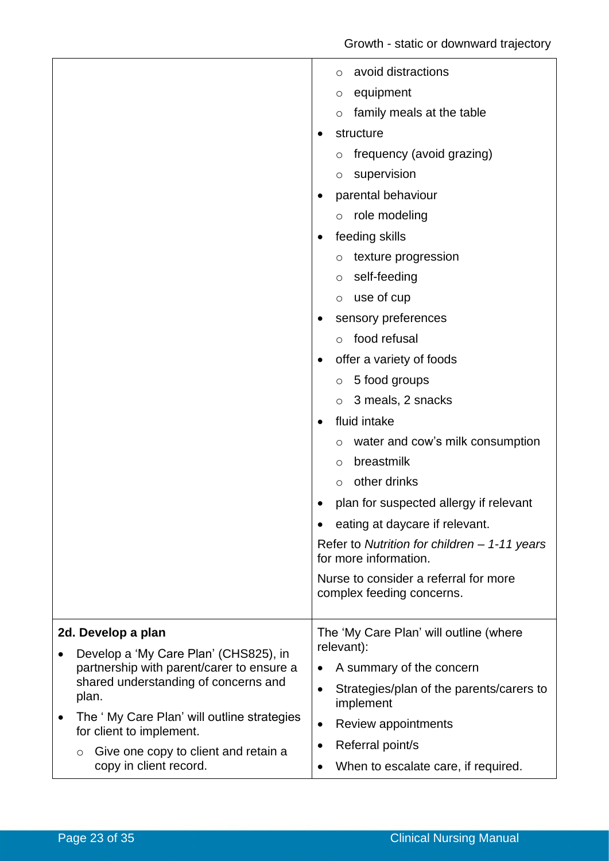|                                                                                                                                                                                                                                                               | avoid distractions<br>$\circ$<br>equipment<br>O<br>family meals at the table<br>$\circ$<br>structure<br>frequency (avoid grazing)<br>$\circ$<br>supervision<br>$\circ$<br>parental behaviour<br>role modeling<br>$\circ$<br>feeding skills<br>texture progression<br>$\circ$<br>self-feeding<br>$\circ$<br>use of cup<br>$\circ$<br>sensory preferences<br>food refusal<br>$\circ$<br>offer a variety of foods<br>5 food groups<br>$\circ$<br>3 meals, 2 snacks<br>$\circ$<br>fluid intake<br>water and cow's milk consumption<br>O<br>breastmilk<br>$\circ$<br>other drinks<br>$\circ$<br>plan for suspected allergy if relevant<br>eating at daycare if relevant.<br>Refer to Nutrition for children $-1-11$ years<br>for more information.<br>Nurse to consider a referral for more |
|---------------------------------------------------------------------------------------------------------------------------------------------------------------------------------------------------------------------------------------------------------------|----------------------------------------------------------------------------------------------------------------------------------------------------------------------------------------------------------------------------------------------------------------------------------------------------------------------------------------------------------------------------------------------------------------------------------------------------------------------------------------------------------------------------------------------------------------------------------------------------------------------------------------------------------------------------------------------------------------------------------------------------------------------------------------|
|                                                                                                                                                                                                                                                               | complex feeding concerns.                                                                                                                                                                                                                                                                                                                                                                                                                                                                                                                                                                                                                                                                                                                                                              |
| 2d. Develop a plan<br>Develop a 'My Care Plan' (CHS825), in<br>$\bullet$<br>partnership with parent/carer to ensure a<br>shared understanding of concerns and<br>plan.<br>The 'My Care Plan' will outline strategies<br>$\bullet$<br>for client to implement. | The 'My Care Plan' will outline (where<br>relevant):<br>A summary of the concern<br>٠<br>Strategies/plan of the parents/carers to<br>$\bullet$<br>implement<br>Review appointments<br>$\bullet$                                                                                                                                                                                                                                                                                                                                                                                                                                                                                                                                                                                        |
| Give one copy to client and retain a<br>O<br>copy in client record.                                                                                                                                                                                           | Referral point/s<br>When to escalate care, if required.                                                                                                                                                                                                                                                                                                                                                                                                                                                                                                                                                                                                                                                                                                                                |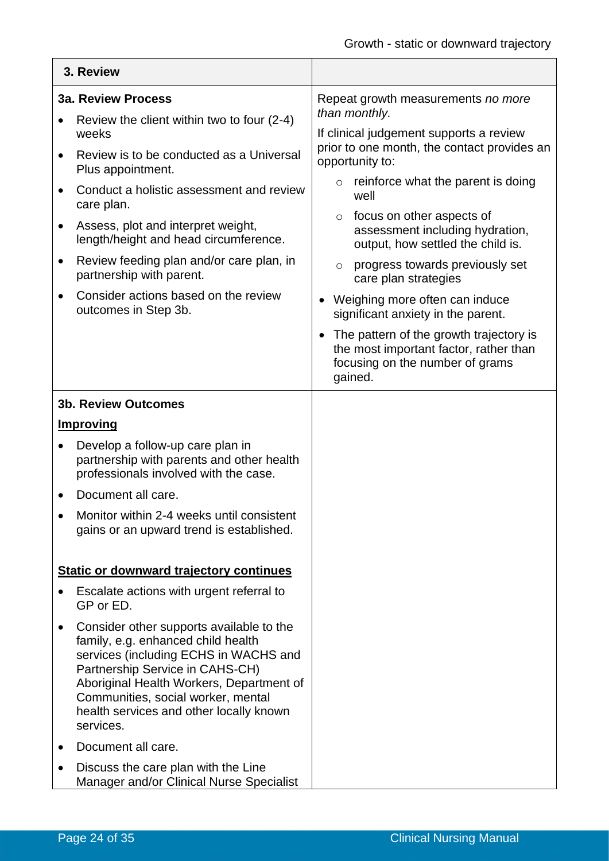|           | 3. Review                                                                                                                                                                                                                                                                                            |                                                                                                                                 |
|-----------|------------------------------------------------------------------------------------------------------------------------------------------------------------------------------------------------------------------------------------------------------------------------------------------------------|---------------------------------------------------------------------------------------------------------------------------------|
|           | <b>3a. Review Process</b>                                                                                                                                                                                                                                                                            | Repeat growth measurements no more                                                                                              |
|           | Review the client within two to four (2-4)<br>weeks                                                                                                                                                                                                                                                  | than monthly.<br>If clinical judgement supports a review                                                                        |
| $\bullet$ | Review is to be conducted as a Universal<br>Plus appointment.                                                                                                                                                                                                                                        | prior to one month, the contact provides an<br>opportunity to:                                                                  |
|           | Conduct a holistic assessment and review<br>care plan.                                                                                                                                                                                                                                               | reinforce what the parent is doing<br>$\circ$<br>well                                                                           |
| $\bullet$ | Assess, plot and interpret weight,<br>length/height and head circumference.                                                                                                                                                                                                                          | focus on other aspects of<br>$\circ$<br>assessment including hydration,<br>output, how settled the child is.                    |
| $\bullet$ | Review feeding plan and/or care plan, in<br>partnership with parent.                                                                                                                                                                                                                                 | progress towards previously set<br>$\circ$<br>care plan strategies                                                              |
| $\bullet$ | Consider actions based on the review<br>outcomes in Step 3b.                                                                                                                                                                                                                                         | Weighing more often can induce<br>significant anxiety in the parent.                                                            |
|           |                                                                                                                                                                                                                                                                                                      | The pattern of the growth trajectory is<br>the most important factor, rather than<br>focusing on the number of grams<br>gained. |
|           | <b>3b. Review Outcomes</b>                                                                                                                                                                                                                                                                           |                                                                                                                                 |
|           | <b>Improving</b>                                                                                                                                                                                                                                                                                     |                                                                                                                                 |
|           | Develop a follow-up care plan in<br>partnership with parents and other health<br>professionals involved with the case.                                                                                                                                                                               |                                                                                                                                 |
|           | Document all care.                                                                                                                                                                                                                                                                                   |                                                                                                                                 |
|           | Monitor within 2-4 weeks until consistent<br>gains or an upward trend is established.                                                                                                                                                                                                                |                                                                                                                                 |
|           | <b>Static or downward trajectory continues</b>                                                                                                                                                                                                                                                       |                                                                                                                                 |
|           | Escalate actions with urgent referral to<br>GP or ED.                                                                                                                                                                                                                                                |                                                                                                                                 |
| $\bullet$ | Consider other supports available to the<br>family, e.g. enhanced child health<br>services (including ECHS in WACHS and<br>Partnership Service in CAHS-CH)<br>Aboriginal Health Workers, Department of<br>Communities, social worker, mental<br>health services and other locally known<br>services. |                                                                                                                                 |
|           | Document all care.                                                                                                                                                                                                                                                                                   |                                                                                                                                 |
| $\bullet$ | Discuss the care plan with the Line<br>Manager and/or Clinical Nurse Specialist                                                                                                                                                                                                                      |                                                                                                                                 |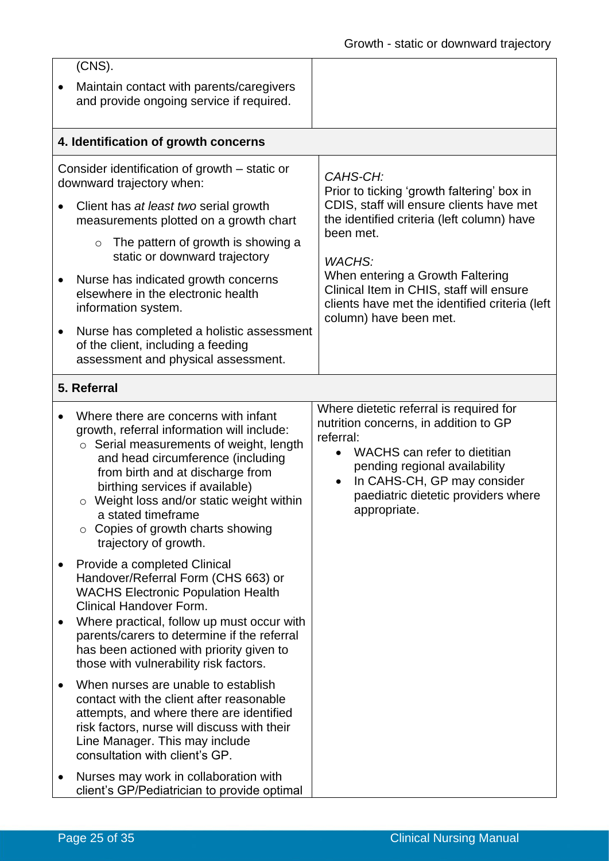|           | $(CNS)$ .                                                                                                                                                                                                                                                                                                                                                                                 |                                                                                                                                                                                                                                                                                |
|-----------|-------------------------------------------------------------------------------------------------------------------------------------------------------------------------------------------------------------------------------------------------------------------------------------------------------------------------------------------------------------------------------------------|--------------------------------------------------------------------------------------------------------------------------------------------------------------------------------------------------------------------------------------------------------------------------------|
|           | Maintain contact with parents/caregivers<br>and provide ongoing service if required.                                                                                                                                                                                                                                                                                                      |                                                                                                                                                                                                                                                                                |
|           | 4. Identification of growth concerns                                                                                                                                                                                                                                                                                                                                                      |                                                                                                                                                                                                                                                                                |
|           | Consider identification of growth – static or<br>downward trajectory when:                                                                                                                                                                                                                                                                                                                | CAHS-CH:<br>Prior to ticking 'growth faltering' box in                                                                                                                                                                                                                         |
|           | Client has at least two serial growth<br>measurements plotted on a growth chart                                                                                                                                                                                                                                                                                                           | CDIS, staff will ensure clients have met<br>the identified criteria (left column) have                                                                                                                                                                                         |
|           | The pattern of growth is showing a<br>$\circ$<br>static or downward trajectory                                                                                                                                                                                                                                                                                                            | been met.<br>WACHS:                                                                                                                                                                                                                                                            |
|           | Nurse has indicated growth concerns<br>elsewhere in the electronic health<br>information system.                                                                                                                                                                                                                                                                                          | When entering a Growth Faltering<br>Clinical Item in CHIS, staff will ensure<br>clients have met the identified criteria (left<br>column) have been met.                                                                                                                       |
|           | Nurse has completed a holistic assessment<br>of the client, including a feeding<br>assessment and physical assessment.                                                                                                                                                                                                                                                                    |                                                                                                                                                                                                                                                                                |
|           | 5. Referral                                                                                                                                                                                                                                                                                                                                                                               |                                                                                                                                                                                                                                                                                |
|           | Where there are concerns with infant<br>growth, referral information will include:<br>○ Serial measurements of weight, length<br>and head circumference (including<br>from birth and at discharge from<br>birthing services if available)<br>Weight loss and/or static weight within<br>$\circ$<br>a stated timeframe<br>$\circ$ Copies of growth charts showing<br>trajectory of growth. | Where dietetic referral is required for<br>nutrition concerns, in addition to GP<br>referral:<br>WACHS can refer to dietitian<br>$\bullet$<br>pending regional availability<br>In CAHS-CH, GP may consider<br>$\bullet$<br>paediatric dietetic providers where<br>appropriate. |
| $\bullet$ | Provide a completed Clinical<br>Handover/Referral Form (CHS 663) or<br><b>WACHS Electronic Population Health</b><br><b>Clinical Handover Form.</b><br>Where practical, follow up must occur with<br>parents/carers to determine if the referral<br>has been actioned with priority given to<br>those with vulnerability risk factors.                                                     |                                                                                                                                                                                                                                                                                |
|           | When nurses are unable to establish<br>contact with the client after reasonable<br>attempts, and where there are identified<br>risk factors, nurse will discuss with their<br>Line Manager. This may include<br>consultation with client's GP.                                                                                                                                            |                                                                                                                                                                                                                                                                                |
|           | Nurses may work in collaboration with<br>client's GP/Pediatrician to provide optimal                                                                                                                                                                                                                                                                                                      |                                                                                                                                                                                                                                                                                |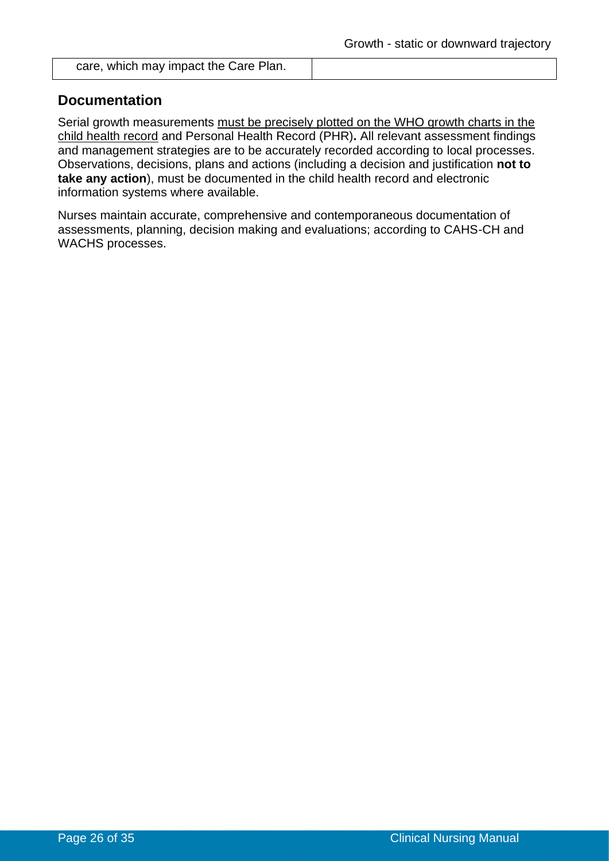care, which may impact the Care Plan.

## **Documentation**

Serial growth measurements must be precisely plotted on the WHO growth charts in the child health record and Personal Health Record (PHR)**.** All relevant assessment findings and management strategies are to be accurately recorded according to local processes. Observations, decisions, plans and actions (including a decision and justification **not to take any action**), must be documented in the child health record and electronic information systems where available.

Nurses maintain accurate, comprehensive and contemporaneous documentation of assessments, planning, decision making and evaluations; according to CAHS-CH and WACHS processes.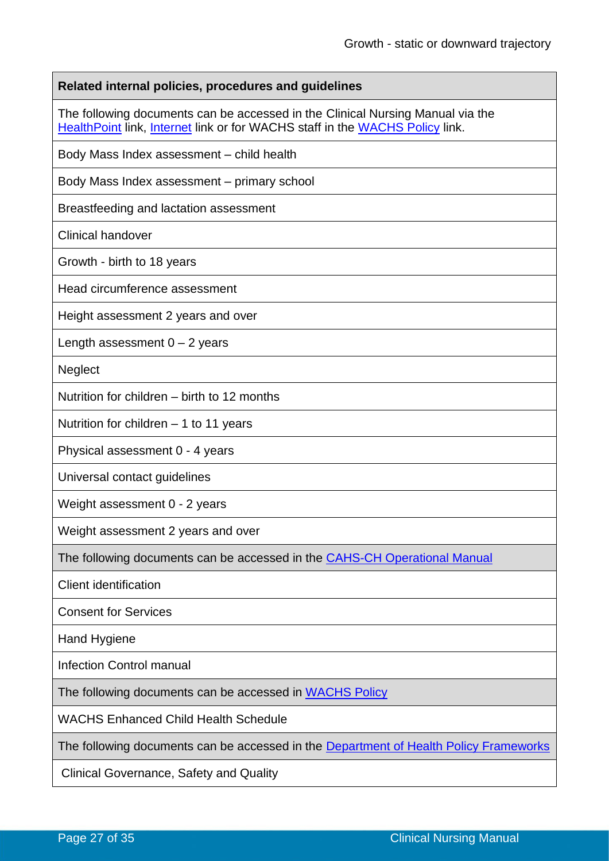| Related internal policies, procedures and guidelines                                                                                                                  |
|-----------------------------------------------------------------------------------------------------------------------------------------------------------------------|
| The following documents can be accessed in the Clinical Nursing Manual via the<br><b>HealthPoint link, Internet link or for WACHS staff in the WACHS Policy link.</b> |
| Body Mass Index assessment - child health                                                                                                                             |
| Body Mass Index assessment – primary school                                                                                                                           |
| Breastfeeding and lactation assessment                                                                                                                                |
| <b>Clinical handover</b>                                                                                                                                              |
| Growth - birth to 18 years                                                                                                                                            |
| Head circumference assessment                                                                                                                                         |
| Height assessment 2 years and over                                                                                                                                    |
| Length assessment $0 - 2$ years                                                                                                                                       |
| <b>Neglect</b>                                                                                                                                                        |
| Nutrition for children – birth to 12 months                                                                                                                           |
| Nutrition for children $-1$ to 11 years                                                                                                                               |
| Physical assessment 0 - 4 years                                                                                                                                       |
| Universal contact guidelines                                                                                                                                          |
| Weight assessment 0 - 2 years                                                                                                                                         |
| Weight assessment 2 years and over                                                                                                                                    |
| The following documents can be accessed in the CAHS-CH Operational Manual                                                                                             |
| <b>Client identification</b>                                                                                                                                          |
| <b>Consent for Services</b>                                                                                                                                           |
| Hand Hygiene                                                                                                                                                          |
| <b>Infection Control manual</b>                                                                                                                                       |
| The following documents can be accessed in WACHS Policy                                                                                                               |
| <b>WACHS Enhanced Child Health Schedule</b>                                                                                                                           |
| The following documents can be accessed in the <b>Department of Health Policy Frameworks</b>                                                                          |
| <b>Clinical Governance, Safety and Quality</b>                                                                                                                        |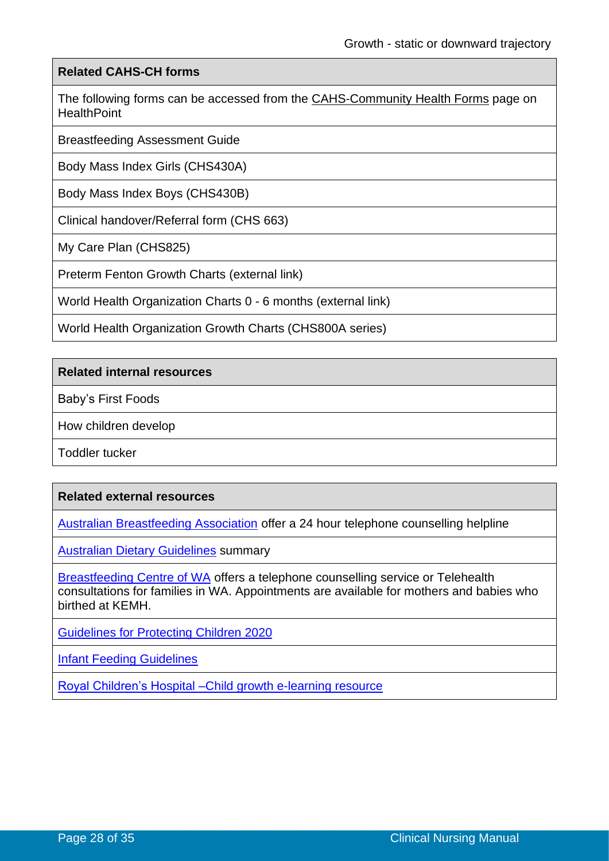#### **Related CAHS-CH forms**

The following forms can be accessed from the [CAHS-Community Health Forms](https://cahs-healthpoint.hdwa.health.wa.gov.au/cach/forms/Pages/default.aspx) page on **HealthPoint** 

Breastfeeding Assessment Guide

Body Mass Index Girls (CHS430A)

Body Mass Index Boys (CHS430B)

Clinical handover/Referral form (CHS 663)

My Care Plan (CHS825)

Preterm Fenton Growth Charts (external link)

World Health Organization Charts 0 - 6 months (external link)

World Health Organization Growth Charts (CHS800A series)

#### **Related internal resources**

Baby's First Foods

How children develop

Toddler tucker

#### **Related external resources**

[Australian Breastfeeding Association](https://www.breastfeeding.asn.au/breastfeeding-helpline) offer a 24 hour telephone counselling helpline

[Australian Dietary Guidelines](https://www.eatforhealth.gov.au/sites/default/files/content/The%20Guidelines/n55a_australian_dietary_guidelines_summary_131014_1.pdf) summary

[Breastfeeding Centre of WA](https://www.wnhs.health.wa.gov.au/Our-services/Service-directory/Breastfeeding-Centre-of-WA) offers a telephone counselling service or Telehealth consultations for families in WA. Appointments are available for mothers and babies who birthed at KEMH.

Guidelines [for Protecting Children 2020](https://cahs-healthpoint.hdwa.health.wa.gov.au/directory/SPOCC/Documents/FINAL%20-%20Guidelines%20for%20the%20Protection%20of%20Children%202020.pdf)

[Infant Feeding Guidelines](https://www.nhmrc.gov.au/_files_nhmrc/publications/attachments/n56_infant_feeding_guidelines.pdf)

[Royal Children's Hospital –Child growth e-learning resource](https://www.rch.org.au/childgrowth/)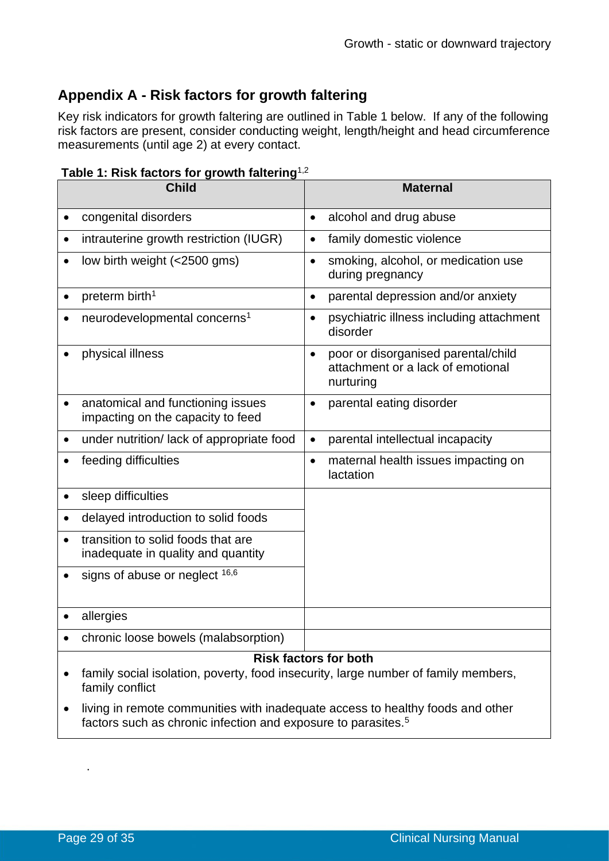# **Appendix A - Risk factors for growth faltering**

Key risk indicators for growth faltering are outlined in Table 1 below. If any of the following risk factors are present, consider conducting weight, length/height and head circumference measurements (until age 2) at every contact.

| Table 1: Risk factors for growth faltering <sup>1,2</sup> |  |
|-----------------------------------------------------------|--|
|-----------------------------------------------------------|--|

|           | <b>Child</b>                                                                                          |           | <b>Maternal</b>                                                                       |
|-----------|-------------------------------------------------------------------------------------------------------|-----------|---------------------------------------------------------------------------------------|
|           | congenital disorders                                                                                  | $\bullet$ | alcohol and drug abuse                                                                |
| $\bullet$ | intrauterine growth restriction (IUGR)                                                                | $\bullet$ | family domestic violence                                                              |
|           | low birth weight (<2500 gms)                                                                          | $\bullet$ | smoking, alcohol, or medication use<br>during pregnancy                               |
| $\bullet$ | preterm birth <sup>1</sup>                                                                            | $\bullet$ | parental depression and/or anxiety                                                    |
|           | neurodevelopmental concerns <sup>1</sup>                                                              | $\bullet$ | psychiatric illness including attachment<br>disorder                                  |
|           | physical illness                                                                                      | $\bullet$ | poor or disorganised parental/child<br>attachment or a lack of emotional<br>nurturing |
| $\bullet$ | anatomical and functioning issues<br>impacting on the capacity to feed                                | $\bullet$ | parental eating disorder                                                              |
| $\bullet$ | under nutrition/lack of appropriate food                                                              | $\bullet$ | parental intellectual incapacity                                                      |
| $\bullet$ | feeding difficulties                                                                                  | $\bullet$ | maternal health issues impacting on<br>lactation                                      |
| $\bullet$ | sleep difficulties                                                                                    |           |                                                                                       |
| $\bullet$ | delayed introduction to solid foods                                                                   |           |                                                                                       |
|           | transition to solid foods that are<br>inadequate in quality and quantity                              |           |                                                                                       |
|           | signs of abuse or neglect 16,6                                                                        |           |                                                                                       |
|           | allergies                                                                                             |           |                                                                                       |
|           | chronic loose bowels (malabsorption)                                                                  |           |                                                                                       |
|           | family social isolation, poverty, food insecurity, large number of family members,<br>family conflict |           | <b>Risk factors for both</b>                                                          |

• living in remote communities with inadequate access to healthy foods and other factors such as chronic infection and exposure to parasites.<sup>5</sup>

.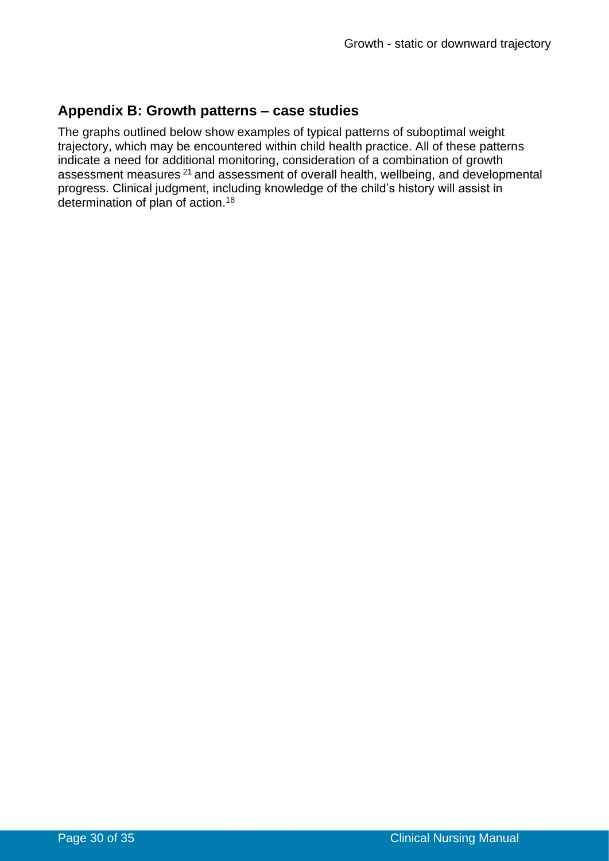## **Appendix B: Growth patterns – case studies**

The graphs outlined below show examples of typical patterns of suboptimal weight trajectory, which may be encountered within child health practice. All of these patterns indicate a need for additional monitoring, consideration of a combination of growth assessment measures <sup>21</sup> and assessment of overall health, wellbeing, and developmental progress. Clinical judgment, including knowledge of the child's history will assist in determination of plan of action.<sup>18</sup>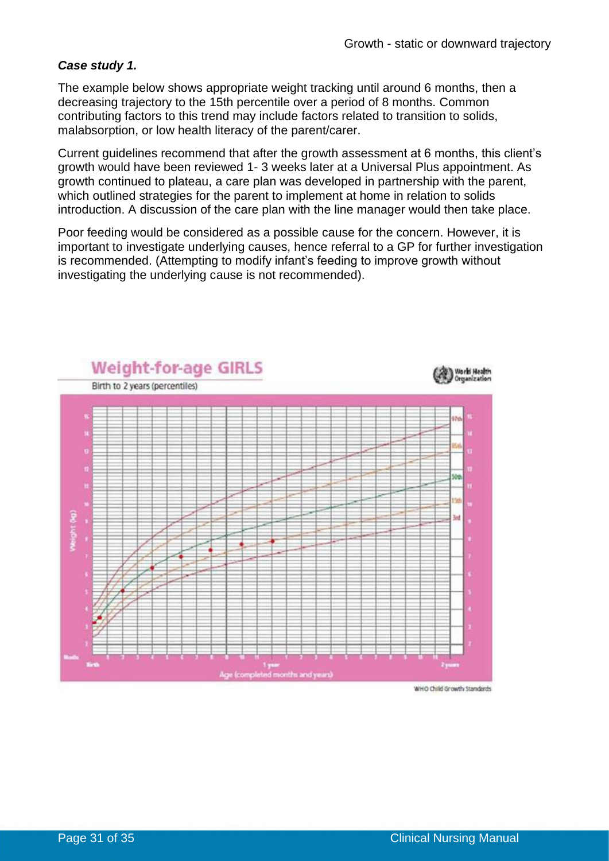#### *Case study 1.*

The example below shows appropriate weight tracking until around 6 months, then a decreasing trajectory to the 15th percentile over a period of 8 months. Common contributing factors to this trend may include factors related to transition to solids, malabsorption, or low health literacy of the parent/carer.

Current guidelines recommend that after the growth assessment at 6 months, this client's growth would have been reviewed 1- 3 weeks later at a Universal Plus appointment. As growth continued to plateau, a care plan was developed in partnership with the parent, which outlined strategies for the parent to implement at home in relation to solids introduction. A discussion of the care plan with the line manager would then take place.

Poor feeding would be considered as a possible cause for the concern. However, it is important to investigate underlying causes, hence referral to a GP for further investigation is recommended. (Attempting to modify infant's feeding to improve growth without investigating the underlying cause is not recommended).



WHO Child Growth Standards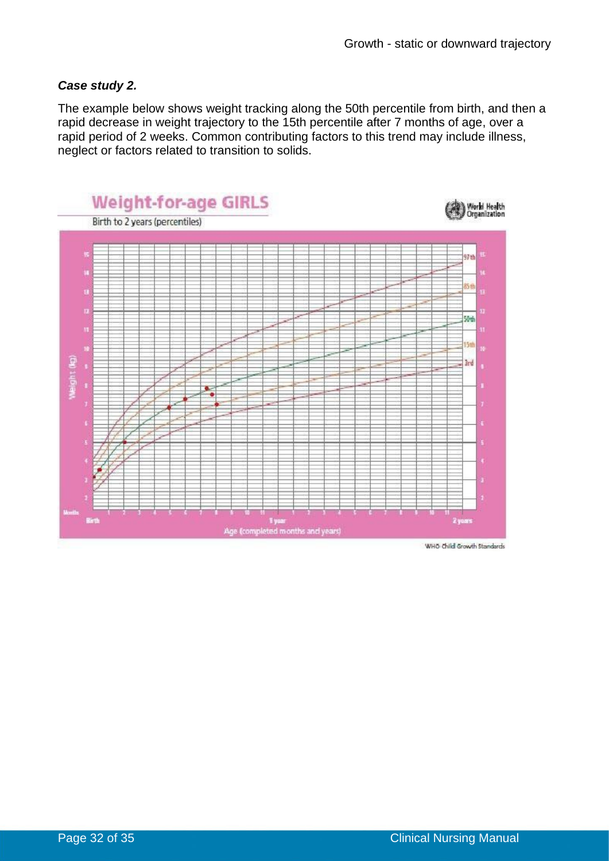#### *Case study 2.*

The example below shows weight tracking along the 50th percentile from birth, and then a rapid decrease in weight trajectory to the 15th percentile after 7 months of age, over a rapid period of 2 weeks. Common contributing factors to this trend may include illness, neglect or factors related to transition to solids.



WHO Child Growth Standards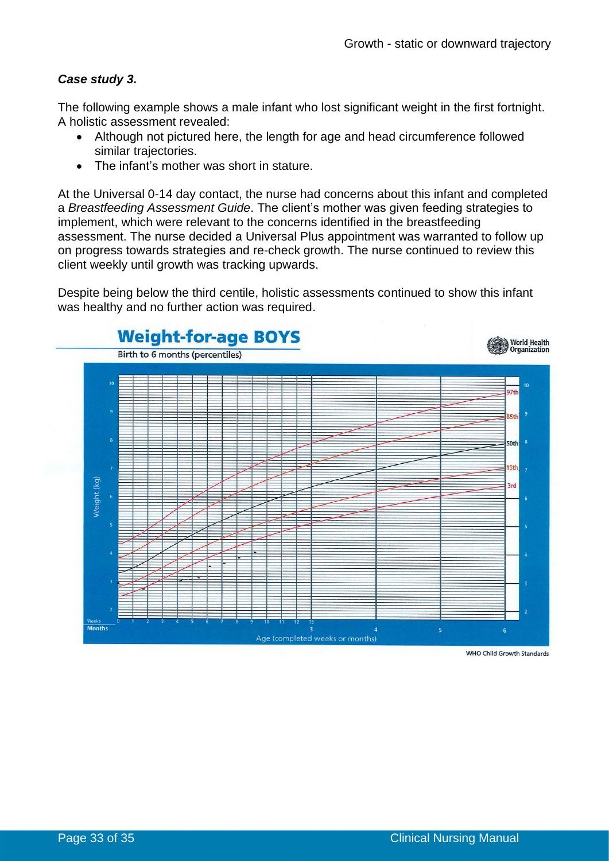#### *Case study 3.*

The following example shows a male infant who lost significant weight in the first fortnight. A holistic assessment revealed:

- Although not pictured here, the length for age and head circumference followed similar trajectories.
- The infant's mother was short in stature.

At the Universal 0-14 day contact, the nurse had concerns about this infant and completed a *Breastfeeding Assessment Guide*. The client's mother was given feeding strategies to implement, which were relevant to the concerns identified in the breastfeeding assessment. The nurse decided a Universal Plus appointment was warranted to follow up on progress towards strategies and re-check growth. The nurse continued to review this client weekly until growth was tracking upwards.

Despite being below the third centile, holistic assessments continued to show this infant was healthy and no further action was required.



WHO Child Growth Standards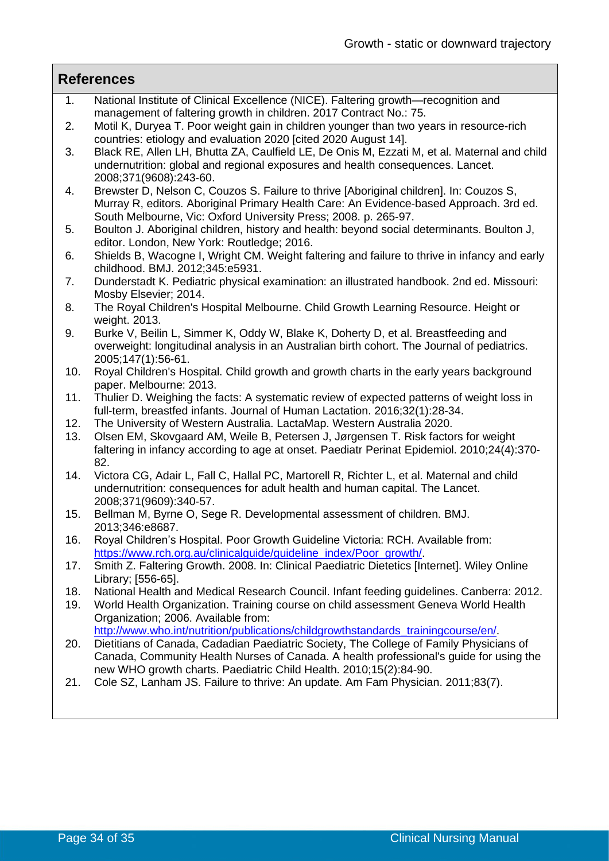#### **References**

- 1. National Institute of Clinical Excellence (NICE). Faltering growth—recognition and management of faltering growth in children. 2017 Contract No.: 75.
- 2. Motil K, Duryea T. Poor weight gain in children younger than two years in resource-rich countries: etiology and evaluation 2020 [cited 2020 August 14].
- 3. Black RE, Allen LH, Bhutta ZA, Caulfield LE, De Onis M, Ezzati M, et al. Maternal and child undernutrition: global and regional exposures and health consequences. Lancet. 2008;371(9608):243-60.
- 4. Brewster D, Nelson C, Couzos S. Failure to thrive [Aboriginal children]. In: Couzos S, Murray R, editors. Aboriginal Primary Health Care: An Evidence-based Approach. 3rd ed. South Melbourne, Vic: Oxford University Press; 2008. p. 265-97.
- 5. Boulton J. Aboriginal children, history and health: beyond social determinants. Boulton J, editor. London, New York: Routledge; 2016.
- 6. Shields B, Wacogne I, Wright CM. Weight faltering and failure to thrive in infancy and early childhood. BMJ. 2012;345:e5931.
- 7. Dunderstadt K. Pediatric physical examination: an illustrated handbook. 2nd ed. Missouri: Mosby Elsevier; 2014.
- 8. The Royal Children's Hospital Melbourne. Child Growth Learning Resource. Height or weight. 2013.
- 9. Burke V, Beilin L, Simmer K, Oddy W, Blake K, Doherty D, et al. Breastfeeding and overweight: longitudinal analysis in an Australian birth cohort. The Journal of pediatrics. 2005;147(1):56-61.
- 10. Royal Children's Hospital. Child growth and growth charts in the early years background paper. Melbourne: 2013.
- 11. Thulier D. Weighing the facts: A systematic review of expected patterns of weight loss in full-term, breastfed infants. Journal of Human Lactation. 2016;32(1):28-34.
- 12. The University of Western Australia. LactaMap. Western Australia 2020.
- 13. Olsen EM, Skovgaard AM, Weile B, Petersen J, Jørgensen T. Risk factors for weight faltering in infancy according to age at onset. Paediatr Perinat Epidemiol. 2010;24(4):370- 82.
- 14. Victora CG, Adair L, Fall C, Hallal PC, Martorell R, Richter L, et al. Maternal and child undernutrition: consequences for adult health and human capital. The Lancet. 2008;371(9609):340-57.
- 15. Bellman M, Byrne O, Sege R. Developmental assessment of children. BMJ. 2013;346:e8687.
- 16. Royal Children's Hospital. Poor Growth Guideline Victoria: RCH. Available from: [https://www.rch.org.au/clinicalguide/guideline\\_index/Poor\\_growth/.](https://www.rch.org.au/clinicalguide/guideline_index/Poor_growth/)
- 17. Smith Z. Faltering Growth. 2008. In: Clinical Paediatric Dietetics [Internet]. Wiley Online Library; [556-65].
- 18. National Health and Medical Research Council. Infant feeding guidelines. Canberra: 2012.
- 19. World Health Organization. Training course on child assessment Geneva World Health Organization; 2006. Available from: [http://www.who.int/nutrition/publications/childgrowthstandards\\_trainingcourse/en/.](http://www.who.int/nutrition/publications/childgrowthstandards_trainingcourse/en/)
- 20. Dietitians of Canada, Cadadian Paediatric Society, The College of Family Physicians of Canada, Community Health Nurses of Canada. A health professional's guide for using the new WHO growth charts. Paediatric Child Health. 2010;15(2):84-90.
- 21. Cole SZ, Lanham JS. Failure to thrive: An update. Am Fam Physician. 2011;83(7).